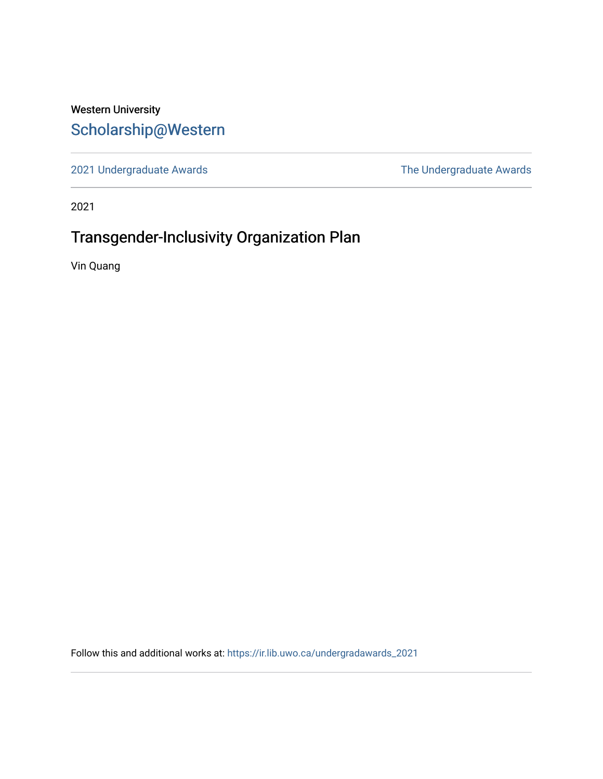# Western University [Scholarship@Western](https://ir.lib.uwo.ca/)

[2021 Undergraduate Awards](https://ir.lib.uwo.ca/undergradawards_2021) [The Undergraduate Awards](https://ir.lib.uwo.ca/ungradawards) 

2021

# Transgender-Inclusivity Organization Plan

Vin Quang

Follow this and additional works at: [https://ir.lib.uwo.ca/undergradawards\\_2021](https://ir.lib.uwo.ca/undergradawards_2021?utm_source=ir.lib.uwo.ca%2Fundergradawards_2021%2F8&utm_medium=PDF&utm_campaign=PDFCoverPages)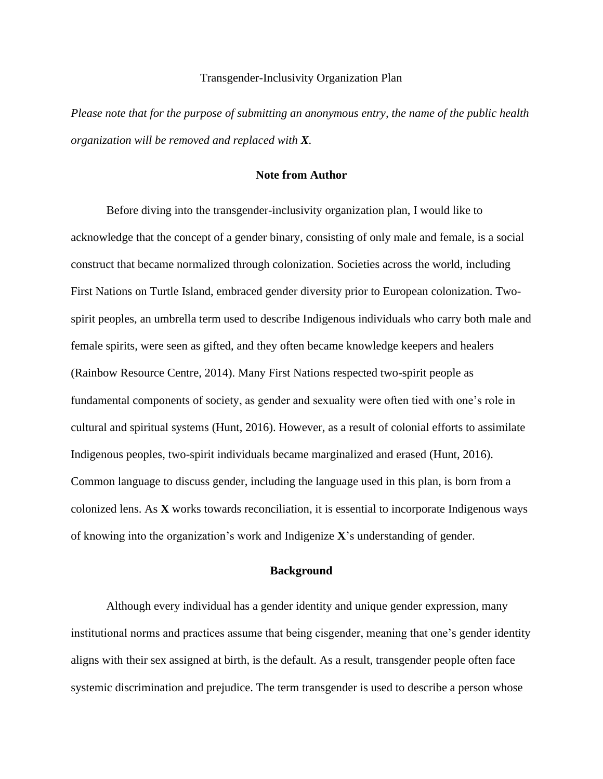#### Transgender-Inclusivity Organization Plan

*Please note that for the purpose of submitting an anonymous entry, the name of the public health organization will be removed and replaced with X.*

#### **Note from Author**

Before diving into the transgender-inclusivity organization plan, I would like to acknowledge that the concept of a gender binary, consisting of only male and female, is a social construct that became normalized through colonization. Societies across the world, including First Nations on Turtle Island, embraced gender diversity prior to European colonization. Twospirit peoples, an umbrella term used to describe Indigenous individuals who carry both male and female spirits, were seen as gifted, and they often became knowledge keepers and healers (Rainbow Resource Centre, 2014). Many First Nations respected two-spirit people as fundamental components of society, as gender and sexuality were often tied with one's role in cultural and spiritual systems (Hunt, 2016). However, as a result of colonial efforts to assimilate Indigenous peoples, two-spirit individuals became marginalized and erased (Hunt, 2016). Common language to discuss gender, including the language used in this plan, is born from a colonized lens. As **X** works towards reconciliation, it is essential to incorporate Indigenous ways of knowing into the organization's work and Indigenize **X**'s understanding of gender.

#### **Background**

Although every individual has a gender identity and unique gender expression, many institutional norms and practices assume that being cisgender, meaning that one's gender identity aligns with their sex assigned at birth, is the default. As a result, transgender people often face systemic discrimination and prejudice. The term transgender is used to describe a person whose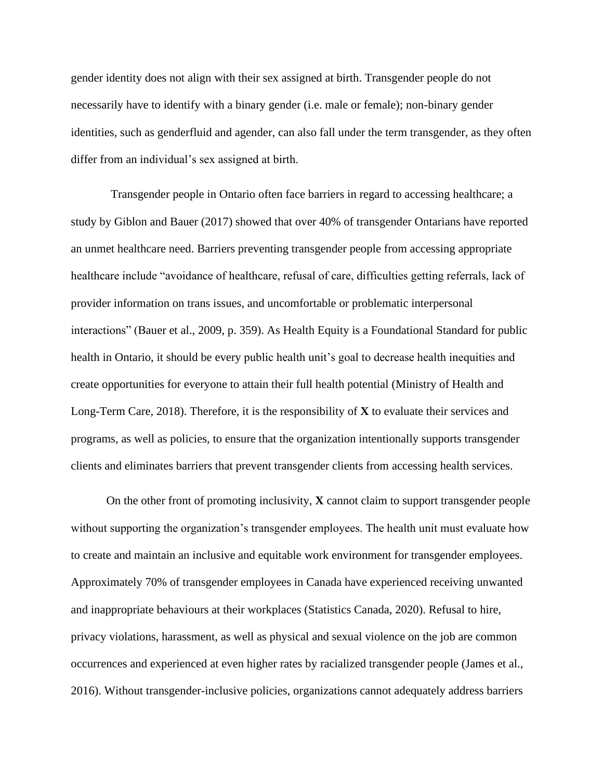gender identity does not align with their sex assigned at birth. Transgender people do not necessarily have to identify with a binary gender (i.e. male or female); non-binary gender identities, such as genderfluid and agender, can also fall under the term transgender, as they often differ from an individual's sex assigned at birth.

Transgender people in Ontario often face barriers in regard to accessing healthcare; a study by Giblon and Bauer (2017) showed that over 40% of transgender Ontarians have reported an unmet healthcare need. Barriers preventing transgender people from accessing appropriate healthcare include "avoidance of healthcare, refusal of care, difficulties getting referrals, lack of provider information on trans issues, and uncomfortable or problematic interpersonal interactions" (Bauer et al., 2009, p. 359). As Health Equity is a Foundational Standard for public health in Ontario, it should be every public health unit's goal to decrease health inequities and create opportunities for everyone to attain their full health potential (Ministry of Health and Long-Term Care, 2018). Therefore, it is the responsibility of **X** to evaluate their services and programs, as well as policies, to ensure that the organization intentionally supports transgender clients and eliminates barriers that prevent transgender clients from accessing health services.

On the other front of promoting inclusivity, **X** cannot claim to support transgender people without supporting the organization's transgender employees. The health unit must evaluate how to create and maintain an inclusive and equitable work environment for transgender employees. Approximately 70% of transgender employees in Canada have experienced receiving unwanted and inappropriate behaviours at their workplaces (Statistics Canada, 2020). Refusal to hire, privacy violations, harassment, as well as physical and sexual violence on the job are common occurrences and experienced at even higher rates by racialized transgender people (James et al., 2016). Without transgender-inclusive policies, organizations cannot adequately address barriers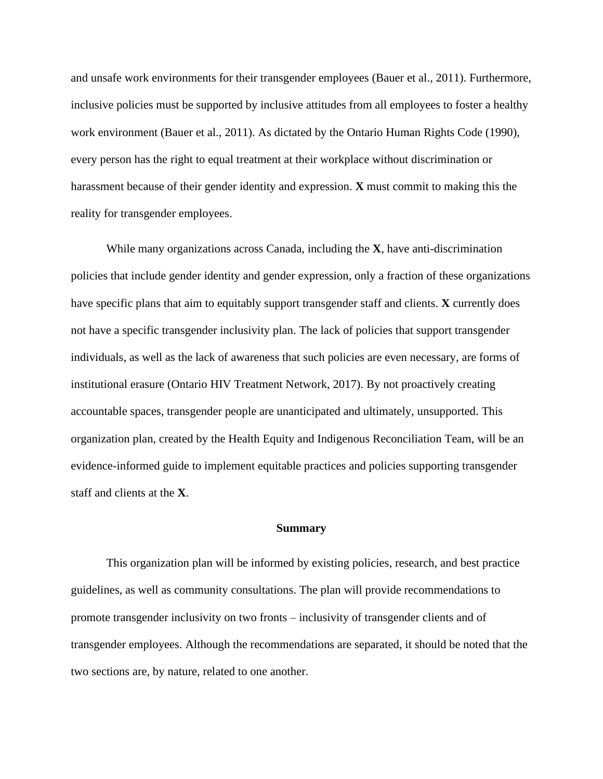and unsafe work environments for their transgender employees (Bauer et al., 2011). Furthermore, inclusive policies must be supported by inclusive attitudes from all employees to foster a healthy work environment (Bauer et al., 2011). As dictated by the Ontario Human Rights Code (1990), every person has the right to equal treatment at their workplace without discrimination or harassment because of their gender identity and expression. **X** must commit to making this the reality for transgender employees.

While many organizations across Canada, including the **X**, have anti-discrimination policies that include gender identity and gender expression, only a fraction of these organizations have specific plans that aim to equitably support transgender staff and clients. **X** currently does not have a specific transgender inclusivity plan. The lack of policies that support transgender individuals, as well as the lack of awareness that such policies are even necessary, are forms of institutional erasure (Ontario HIV Treatment Network, 2017). By not proactively creating accountable spaces, transgender people are unanticipated and ultimately, unsupported. This organization plan, created by the Health Equity and Indigenous Reconciliation Team, will be an evidence-informed guide to implement equitable practices and policies supporting transgender staff and clients at the **X**.

#### **Summary**

This organization plan will be informed by existing policies, research, and best practice guidelines, as well as community consultations. The plan will provide recommendations to promote transgender inclusivity on two fronts – inclusivity of transgender clients and of transgender employees. Although the recommendations are separated, it should be noted that the two sections are, by nature, related to one another.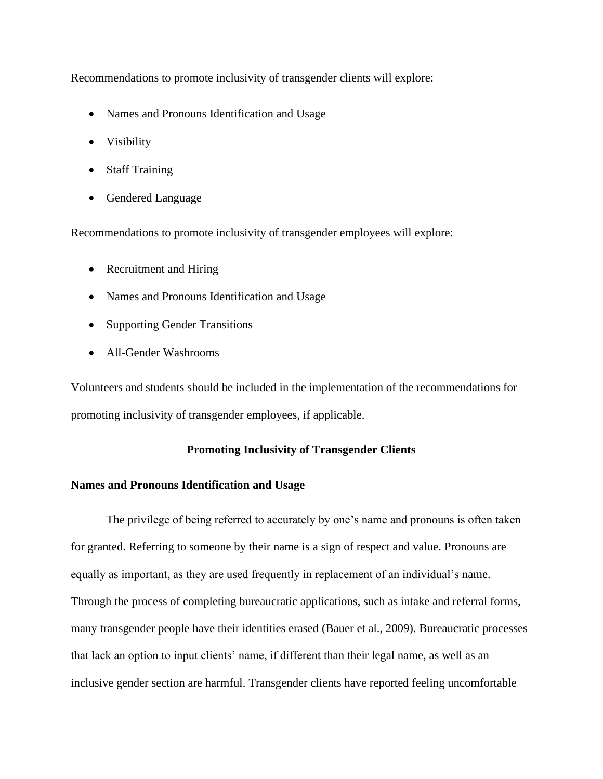Recommendations to promote inclusivity of transgender clients will explore:

- Names and Pronouns Identification and Usage
- Visibility
- Staff Training
- Gendered Language

Recommendations to promote inclusivity of transgender employees will explore:

- Recruitment and Hiring
- Names and Pronouns Identification and Usage
- Supporting Gender Transitions
- All-Gender Washrooms

Volunteers and students should be included in the implementation of the recommendations for promoting inclusivity of transgender employees, if applicable.

## **Promoting Inclusivity of Transgender Clients**

### **Names and Pronouns Identification and Usage**

The privilege of being referred to accurately by one's name and pronouns is often taken for granted. Referring to someone by their name is a sign of respect and value. Pronouns are equally as important, as they are used frequently in replacement of an individual's name. Through the process of completing bureaucratic applications, such as intake and referral forms, many transgender people have their identities erased (Bauer et al., 2009). Bureaucratic processes that lack an option to input clients' name, if different than their legal name, as well as an inclusive gender section are harmful. Transgender clients have reported feeling uncomfortable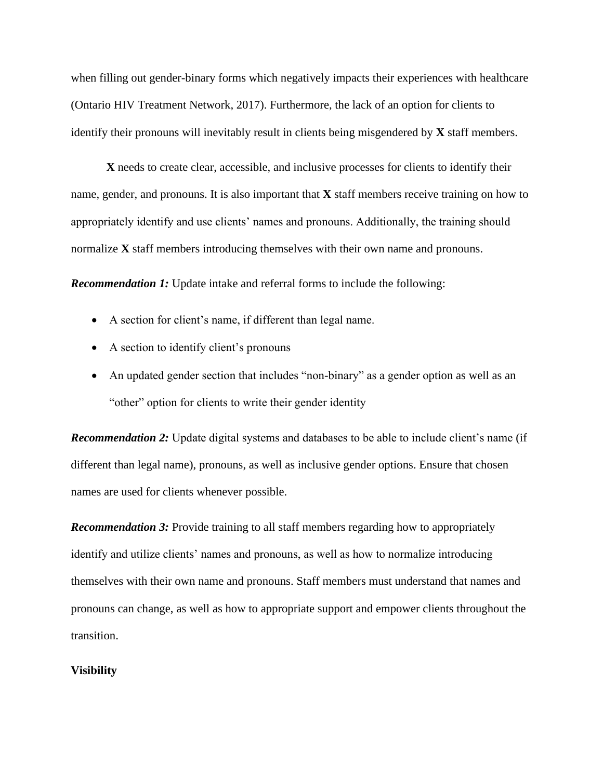when filling out gender-binary forms which negatively impacts their experiences with healthcare (Ontario HIV Treatment Network, 2017). Furthermore, the lack of an option for clients to identify their pronouns will inevitably result in clients being misgendered by **X** staff members.

**X** needs to create clear, accessible, and inclusive processes for clients to identify their name, gender, and pronouns. It is also important that **X** staff members receive training on how to appropriately identify and use clients' names and pronouns. Additionally, the training should normalize **X** staff members introducing themselves with their own name and pronouns.

*Recommendation 1:* Update intake and referral forms to include the following:

- A section for client's name, if different than legal name.
- A section to identify client's pronouns
- An updated gender section that includes "non-binary" as a gender option as well as an "other" option for clients to write their gender identity

*Recommendation 2:* Update digital systems and databases to be able to include client's name (if different than legal name), pronouns, as well as inclusive gender options. Ensure that chosen names are used for clients whenever possible.

*Recommendation 3:* Provide training to all staff members regarding how to appropriately identify and utilize clients' names and pronouns, as well as how to normalize introducing themselves with their own name and pronouns. Staff members must understand that names and pronouns can change, as well as how to appropriate support and empower clients throughout the transition.

#### **Visibility**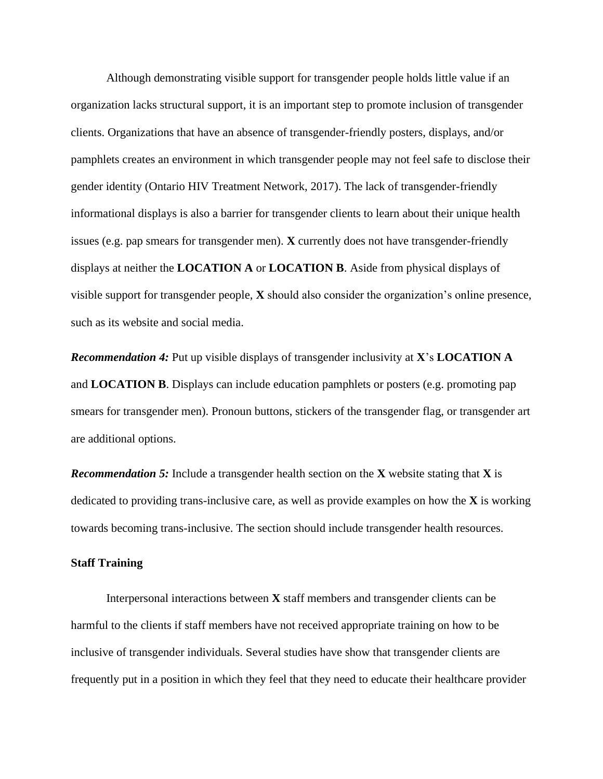Although demonstrating visible support for transgender people holds little value if an organization lacks structural support, it is an important step to promote inclusion of transgender clients. Organizations that have an absence of transgender-friendly posters, displays, and/or pamphlets creates an environment in which transgender people may not feel safe to disclose their gender identity (Ontario HIV Treatment Network, 2017). The lack of transgender-friendly informational displays is also a barrier for transgender clients to learn about their unique health issues (e.g. pap smears for transgender men). **X** currently does not have transgender-friendly displays at neither the **LOCATION A** or **LOCATION B**. Aside from physical displays of visible support for transgender people, **X** should also consider the organization's online presence, such as its website and social media.

*Recommendation 4:* Put up visible displays of transgender inclusivity at **X**'s **LOCATION A** and **LOCATION B**. Displays can include education pamphlets or posters (e.g. promoting pap smears for transgender men). Pronoun buttons, stickers of the transgender flag, or transgender art are additional options.

*Recommendation 5:* Include a transgender health section on the **X** website stating that **X** is dedicated to providing trans-inclusive care, as well as provide examples on how the **X** is working towards becoming trans-inclusive. The section should include transgender health resources.

#### **Staff Training**

Interpersonal interactions between **X** staff members and transgender clients can be harmful to the clients if staff members have not received appropriate training on how to be inclusive of transgender individuals. Several studies have show that transgender clients are frequently put in a position in which they feel that they need to educate their healthcare provider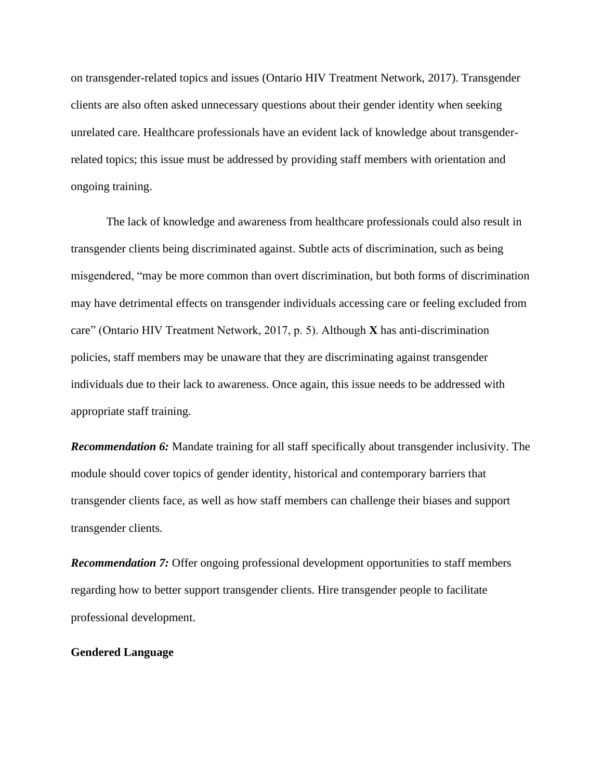on transgender-related topics and issues (Ontario HIV Treatment Network, 2017). Transgender clients are also often asked unnecessary questions about their gender identity when seeking unrelated care. Healthcare professionals have an evident lack of knowledge about transgenderrelated topics; this issue must be addressed by providing staff members with orientation and ongoing training.

The lack of knowledge and awareness from healthcare professionals could also result in transgender clients being discriminated against. Subtle acts of discrimination, such as being misgendered, "may be more common than overt discrimination, but both forms of discrimination may have detrimental effects on transgender individuals accessing care or feeling excluded from care" (Ontario HIV Treatment Network, 2017, p. 5). Although **X** has anti-discrimination policies, staff members may be unaware that they are discriminating against transgender individuals due to their lack to awareness. Once again, this issue needs to be addressed with appropriate staff training.

*Recommendation 6:* Mandate training for all staff specifically about transgender inclusivity. The module should cover topics of gender identity, historical and contemporary barriers that transgender clients face, as well as how staff members can challenge their biases and support transgender clients.

*Recommendation 7:* Offer ongoing professional development opportunities to staff members regarding how to better support transgender clients. Hire transgender people to facilitate professional development.

#### **Gendered Language**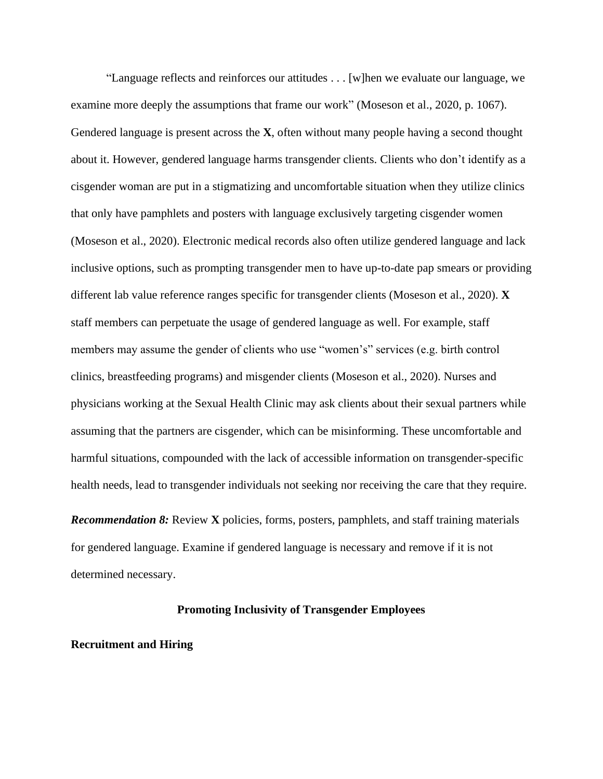"Language reflects and reinforces our attitudes . . . [w]hen we evaluate our language, we examine more deeply the assumptions that frame our work" (Moseson et al., 2020, p. 1067). Gendered language is present across the **X**, often without many people having a second thought about it. However, gendered language harms transgender clients. Clients who don't identify as a cisgender woman are put in a stigmatizing and uncomfortable situation when they utilize clinics that only have pamphlets and posters with language exclusively targeting cisgender women (Moseson et al., 2020). Electronic medical records also often utilize gendered language and lack inclusive options, such as prompting transgender men to have up-to-date pap smears or providing different lab value reference ranges specific for transgender clients (Moseson et al., 2020). **X** staff members can perpetuate the usage of gendered language as well. For example, staff members may assume the gender of clients who use "women's" services (e.g. birth control clinics, breastfeeding programs) and misgender clients (Moseson et al., 2020). Nurses and physicians working at the Sexual Health Clinic may ask clients about their sexual partners while assuming that the partners are cisgender, which can be misinforming. These uncomfortable and harmful situations, compounded with the lack of accessible information on transgender-specific health needs, lead to transgender individuals not seeking nor receiving the care that they require.

*Recommendation 8:* Review **X** policies, forms, posters, pamphlets, and staff training materials for gendered language. Examine if gendered language is necessary and remove if it is not determined necessary.

#### **Promoting Inclusivity of Transgender Employees**

#### **Recruitment and Hiring**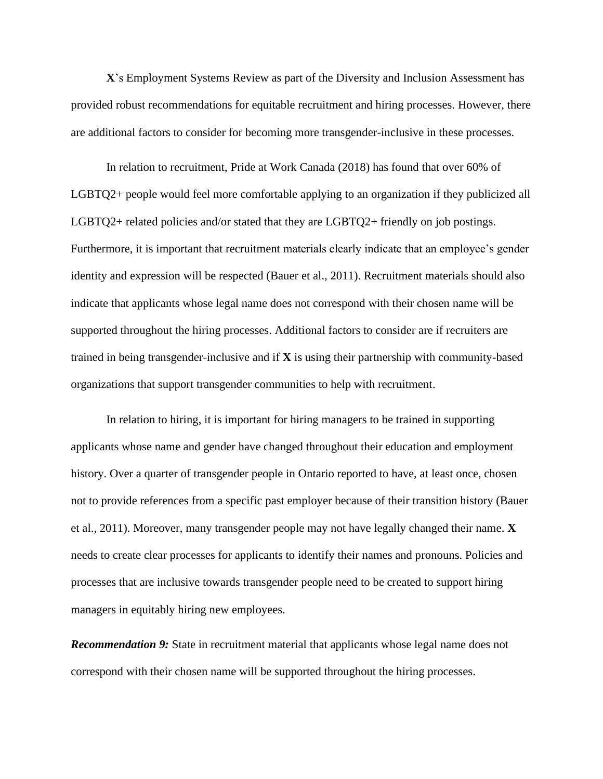**X**'s Employment Systems Review as part of the Diversity and Inclusion Assessment has provided robust recommendations for equitable recruitment and hiring processes. However, there are additional factors to consider for becoming more transgender-inclusive in these processes.

In relation to recruitment, Pride at Work Canada (2018) has found that over 60% of LGBTQ2+ people would feel more comfortable applying to an organization if they publicized all LGBTQ2+ related policies and/or stated that they are LGBTQ2+ friendly on job postings. Furthermore, it is important that recruitment materials clearly indicate that an employee's gender identity and expression will be respected (Bauer et al., 2011). Recruitment materials should also indicate that applicants whose legal name does not correspond with their chosen name will be supported throughout the hiring processes. Additional factors to consider are if recruiters are trained in being transgender-inclusive and if **X** is using their partnership with community-based organizations that support transgender communities to help with recruitment.

In relation to hiring, it is important for hiring managers to be trained in supporting applicants whose name and gender have changed throughout their education and employment history. Over a quarter of transgender people in Ontario reported to have, at least once, chosen not to provide references from a specific past employer because of their transition history (Bauer et al., 2011). Moreover, many transgender people may not have legally changed their name. **X** needs to create clear processes for applicants to identify their names and pronouns. Policies and processes that are inclusive towards transgender people need to be created to support hiring managers in equitably hiring new employees.

*Recommendation 9:* State in recruitment material that applicants whose legal name does not correspond with their chosen name will be supported throughout the hiring processes.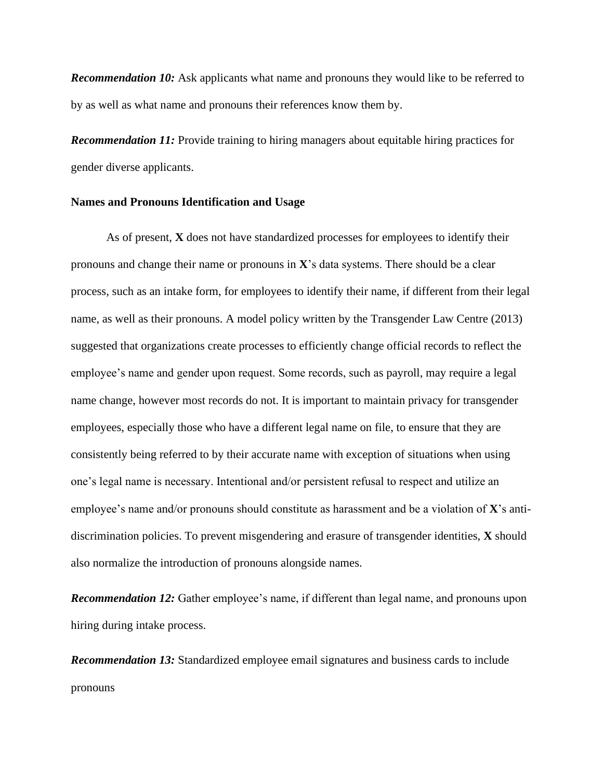**Recommendation 10:** Ask applicants what name and pronouns they would like to be referred to by as well as what name and pronouns their references know them by.

*Recommendation 11:* Provide training to hiring managers about equitable hiring practices for gender diverse applicants.

#### **Names and Pronouns Identification and Usage**

As of present, **X** does not have standardized processes for employees to identify their pronouns and change their name or pronouns in **X**'s data systems. There should be a clear process, such as an intake form, for employees to identify their name, if different from their legal name, as well as their pronouns. A model policy written by the Transgender Law Centre (2013) suggested that organizations create processes to efficiently change official records to reflect the employee's name and gender upon request. Some records, such as payroll, may require a legal name change, however most records do not. It is important to maintain privacy for transgender employees, especially those who have a different legal name on file, to ensure that they are consistently being referred to by their accurate name with exception of situations when using one's legal name is necessary. Intentional and/or persistent refusal to respect and utilize an employee's name and/or pronouns should constitute as harassment and be a violation of **X**'s antidiscrimination policies. To prevent misgendering and erasure of transgender identities, **X** should also normalize the introduction of pronouns alongside names.

*Recommendation 12:* Gather employee's name, if different than legal name, and pronouns upon hiring during intake process.

*Recommendation 13:* Standardized employee email signatures and business cards to include pronouns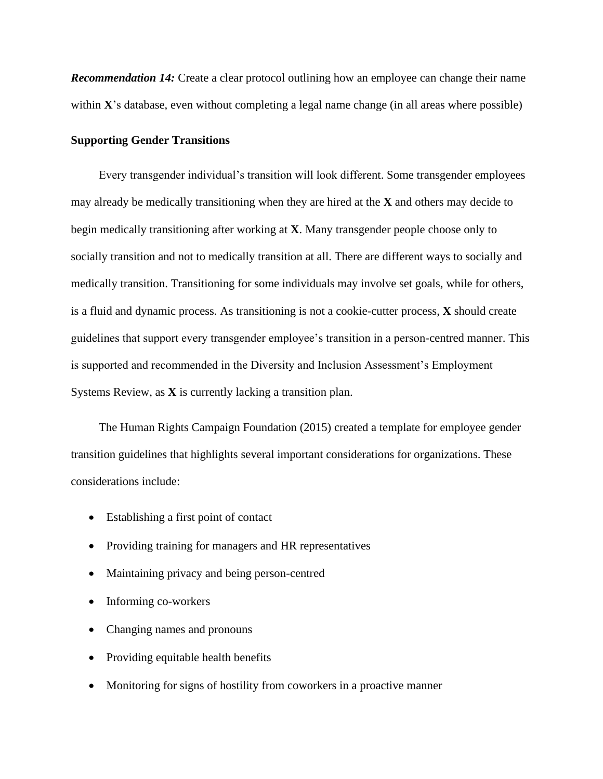*Recommendation 14:* Create a clear protocol outlining how an employee can change their name within **X**'s database, even without completing a legal name change (in all areas where possible)

#### **Supporting Gender Transitions**

Every transgender individual's transition will look different. Some transgender employees may already be medically transitioning when they are hired at the **X** and others may decide to begin medically transitioning after working at **X**. Many transgender people choose only to socially transition and not to medically transition at all. There are different ways to socially and medically transition. Transitioning for some individuals may involve set goals, while for others, is a fluid and dynamic process. As transitioning is not a cookie-cutter process, **X** should create guidelines that support every transgender employee's transition in a person-centred manner. This is supported and recommended in the Diversity and Inclusion Assessment's Employment Systems Review, as **X** is currently lacking a transition plan.

The Human Rights Campaign Foundation (2015) created a template for employee gender transition guidelines that highlights several important considerations for organizations. These considerations include:

- Establishing a first point of contact
- Providing training for managers and HR representatives
- Maintaining privacy and being person-centred
- Informing co-workers
- Changing names and pronouns
- Providing equitable health benefits
- Monitoring for signs of hostility from coworkers in a proactive manner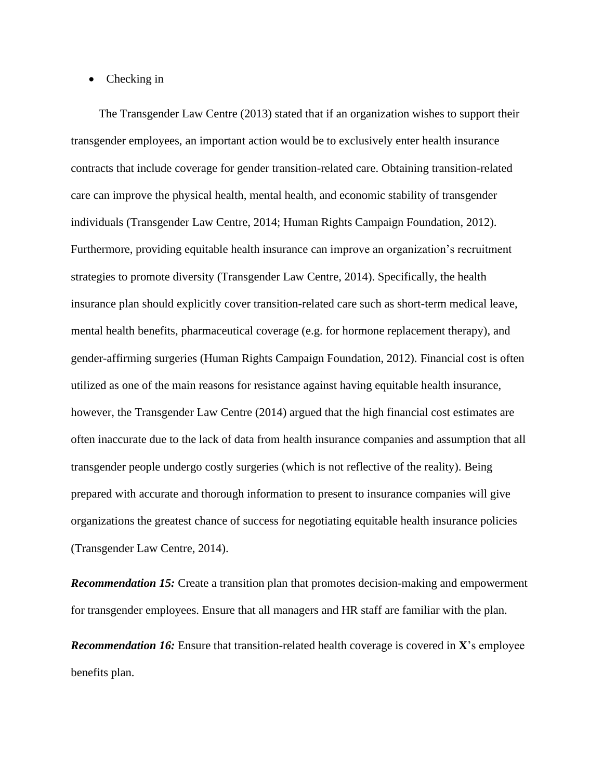#### • Checking in

The Transgender Law Centre (2013) stated that if an organization wishes to support their transgender employees, an important action would be to exclusively enter health insurance contracts that include coverage for gender transition-related care. Obtaining transition-related care can improve the physical health, mental health, and economic stability of transgender individuals (Transgender Law Centre, 2014; Human Rights Campaign Foundation, 2012). Furthermore, providing equitable health insurance can improve an organization's recruitment strategies to promote diversity (Transgender Law Centre, 2014). Specifically, the health insurance plan should explicitly cover transition-related care such as short-term medical leave, mental health benefits, pharmaceutical coverage (e.g. for hormone replacement therapy), and gender-affirming surgeries (Human Rights Campaign Foundation, 2012). Financial cost is often utilized as one of the main reasons for resistance against having equitable health insurance, however, the Transgender Law Centre (2014) argued that the high financial cost estimates are often inaccurate due to the lack of data from health insurance companies and assumption that all transgender people undergo costly surgeries (which is not reflective of the reality). Being prepared with accurate and thorough information to present to insurance companies will give organizations the greatest chance of success for negotiating equitable health insurance policies (Transgender Law Centre, 2014).

*Recommendation 15:* Create a transition plan that promotes decision-making and empowerment for transgender employees. Ensure that all managers and HR staff are familiar with the plan.

*Recommendation 16:* Ensure that transition-related health coverage is covered in **X**'s employee benefits plan.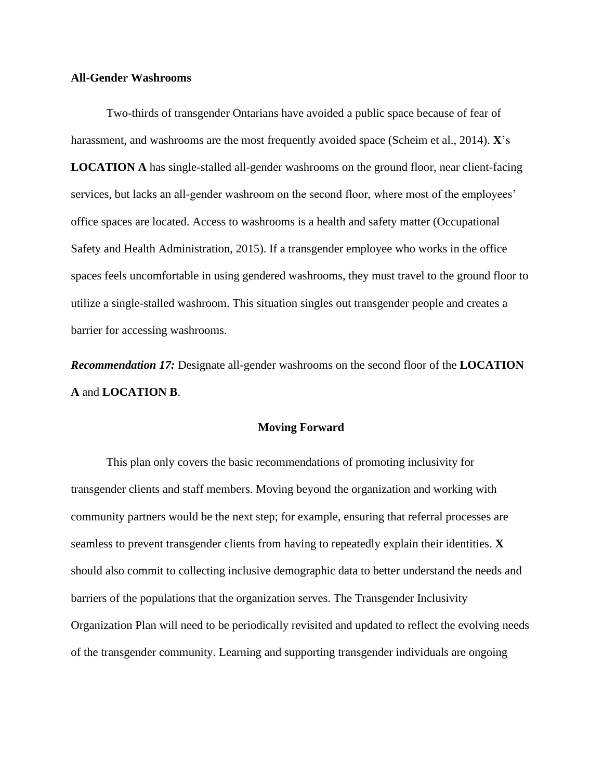#### **All-Gender Washrooms**

Two-thirds of transgender Ontarians have avoided a public space because of fear of harassment, and washrooms are the most frequently avoided space (Scheim et al., 2014). **X**'s **LOCATION A** has single-stalled all-gender washrooms on the ground floor, near client-facing services, but lacks an all-gender washroom on the second floor, where most of the employees' office spaces are located. Access to washrooms is a health and safety matter (Occupational Safety and Health Administration, 2015). If a transgender employee who works in the office spaces feels uncomfortable in using gendered washrooms, they must travel to the ground floor to utilize a single-stalled washroom. This situation singles out transgender people and creates a barrier for accessing washrooms.

*Recommendation 17:* Designate all-gender washrooms on the second floor of the **LOCATION A** and **LOCATION B**.

#### **Moving Forward**

This plan only covers the basic recommendations of promoting inclusivity for transgender clients and staff members. Moving beyond the organization and working with community partners would be the next step; for example, ensuring that referral processes are seamless to prevent transgender clients from having to repeatedly explain their identities. **X** should also commit to collecting inclusive demographic data to better understand the needs and barriers of the populations that the organization serves. The Transgender Inclusivity Organization Plan will need to be periodically revisited and updated to reflect the evolving needs of the transgender community. Learning and supporting transgender individuals are ongoing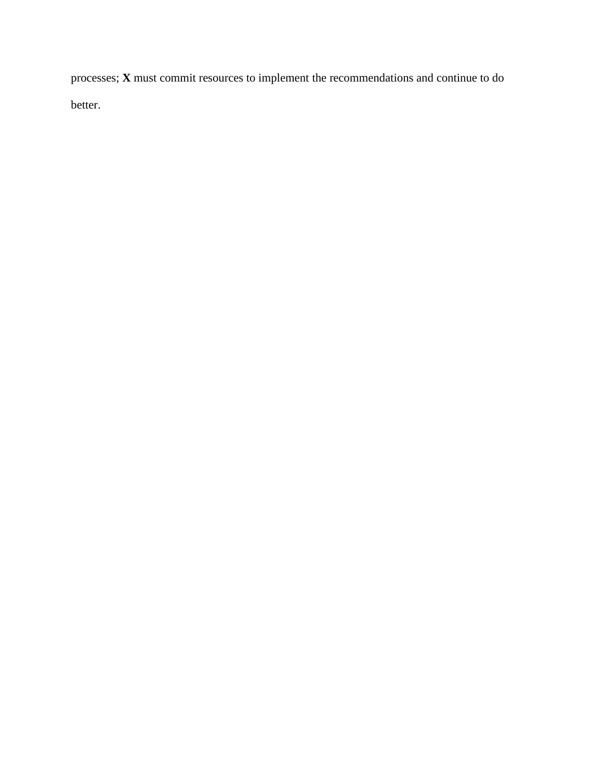processes; **X** must commit resources to implement the recommendations and continue to do better.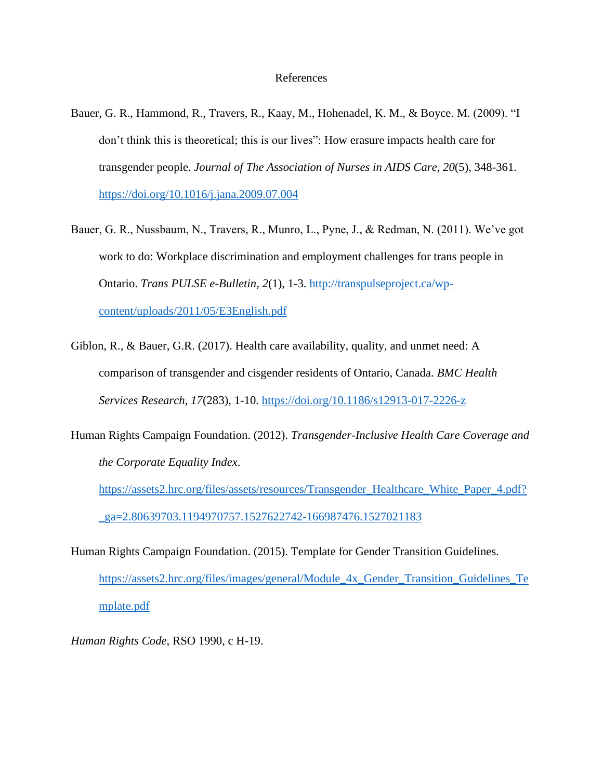#### References

- Bauer, G. R., Hammond, R., Travers, R., Kaay, M., Hohenadel, K. M., & Boyce. M. (2009). "I don't think this is theoretical; this is our lives": How erasure impacts health care for transgender people. *Journal of The Association of Nurses in AIDS Care, 20*(5), 348-361. <https://doi.org/10.1016/j.jana.2009.07.004>
- Bauer, G. R., Nussbaum, N., Travers, R., Munro, L., Pyne, J., & Redman, N. (2011). We've got work to do: Workplace discrimination and employment challenges for trans people in Ontario. *Trans PULSE e-Bulletin, 2*(1), 1-3. [http://transpulseproject.ca/wp](http://transpulseproject.ca/wp-content/uploads/2011/05/E3English.pdf)[content/uploads/2011/05/E3English.pdf](http://transpulseproject.ca/wp-content/uploads/2011/05/E3English.pdf)
- Giblon, R., & Bauer, G.R. (2017). Health care availability, quality, and unmet need: A comparison of transgender and cisgender residents of Ontario, Canada. *BMC Health Services Research, 17*(283), 1-10.<https://doi.org/10.1186/s12913-017-2226-z>
- Human Rights Campaign Foundation. (2012). *Transgender-Inclusive Health Care Coverage and the Corporate Equality Index*.

[https://assets2.hrc.org/files/assets/resources/Transgender\\_Healthcare\\_White\\_Paper\\_4.pdf?](https://assets2.hrc.org/files/assets/resources/Transgender_Healthcare_White_Paper_4.pdf?_ga=2.80639703.1194970757.1527622742-166987476.1527021183) [\\_ga=2.80639703.1194970757.1527622742-166987476.1527021183](https://assets2.hrc.org/files/assets/resources/Transgender_Healthcare_White_Paper_4.pdf?_ga=2.80639703.1194970757.1527622742-166987476.1527021183)

Human Rights Campaign Foundation. (2015). Template for Gender Transition Guidelines. [https://assets2.hrc.org/files/images/general/Module\\_4x\\_Gender\\_Transition\\_Guidelines\\_Te](https://assets2.hrc.org/files/images/general/Module_4x_Gender_Transition_Guidelines_Template.pdf) [mplate.pdf](https://assets2.hrc.org/files/images/general/Module_4x_Gender_Transition_Guidelines_Template.pdf)

*Human Rights Code*, RSO 1990, c H-19.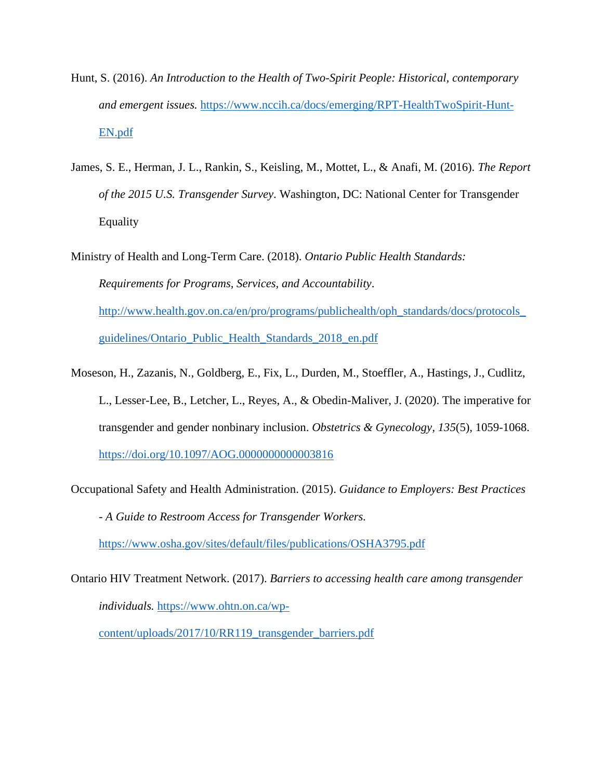- Hunt, S. (2016). *An Introduction to the Health of Two-Spirit People: Historical, contemporary and emergent issues.* [https://www.nccih.ca/docs/emerging/RPT-HealthTwoSpirit-Hunt-](https://www.nccih.ca/docs/emerging/RPT-HealthTwoSpirit-Hunt-EN.pdf)[EN.pdf](https://www.nccih.ca/docs/emerging/RPT-HealthTwoSpirit-Hunt-EN.pdf)
- James, S. E., Herman, J. L., Rankin, S., Keisling, M., Mottet, L., & Anafi, M. (2016). *The Report of the 2015 U.S. Transgender Survey*. Washington, DC: National Center for Transgender Equality

Ministry of Health and Long-Term Care. (2018). *Ontario Public Health Standards: Requirements for Programs, Services, and Accountability*. [http://www.health.gov.on.ca/en/pro/programs/publichealth/oph\\_standards/docs/protocols\\_](http://www.health.gov.on.ca/en/pro/programs/publichealth/oph_standards/docs/protocols_guidelines/Ontario_Public_Health_Standards_2018_en.pdf) [guidelines/Ontario\\_Public\\_Health\\_Standards\\_2018\\_en.pdf](http://www.health.gov.on.ca/en/pro/programs/publichealth/oph_standards/docs/protocols_guidelines/Ontario_Public_Health_Standards_2018_en.pdf)

- Moseson, H., Zazanis, N., Goldberg, E., Fix, L., Durden, M., Stoeffler, A., Hastings, J., Cudlitz, L., Lesser-Lee, B., Letcher, L., Reyes, A., & Obedin-Maliver, J. (2020). The imperative for transgender and gender nonbinary inclusion. *Obstetrics & Gynecology, 135*(5), 1059-1068. <https://doi.org/10.1097/AOG.0000000000003816>
- Occupational Safety and Health Administration. (2015). *Guidance to Employers: Best Practices - A Guide to Restroom Access for Transgender Workers.*  <https://www.osha.gov/sites/default/files/publications/OSHA3795.pdf>
- Ontario HIV Treatment Network. (2017). *Barriers to accessing health care among transgender individuals.* [https://www.ohtn.on.ca/wp](https://www.ohtn.on.ca/wp-content/uploads/2017/10/RR119_transgender_barriers.pdf)[content/uploads/2017/10/RR119\\_transgender\\_barriers.pdf](https://www.ohtn.on.ca/wp-content/uploads/2017/10/RR119_transgender_barriers.pdf)